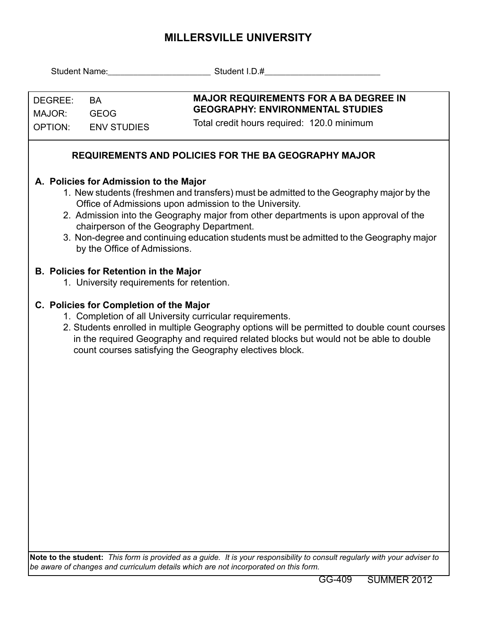## **MILLERSVILLE UNIVERSITY**

| DEGREE:<br>MAJOR:<br><b>OPTION:</b>                                                                                                                                                                                                                                                                                                                                                                                                                        | <b>BA</b><br><b>GEOG</b><br><b>ENV STUDIES</b> | <b>MAJOR REQUIREMENTS FOR A BA DEGREE IN</b><br><b>GEOGRAPHY: ENVIRONMENTAL STUDIES</b><br>Total credit hours required: 120.0 minimum |  |
|------------------------------------------------------------------------------------------------------------------------------------------------------------------------------------------------------------------------------------------------------------------------------------------------------------------------------------------------------------------------------------------------------------------------------------------------------------|------------------------------------------------|---------------------------------------------------------------------------------------------------------------------------------------|--|
| <b>REQUIREMENTS AND POLICIES FOR THE BA GEOGRAPHY MAJOR</b>                                                                                                                                                                                                                                                                                                                                                                                                |                                                |                                                                                                                                       |  |
| A. Policies for Admission to the Major<br>1. New students (freshmen and transfers) must be admitted to the Geography major by the<br>Office of Admissions upon admission to the University.<br>2. Admission into the Geography major from other departments is upon approval of the<br>chairperson of the Geography Department.<br>3. Non-degree and continuing education students must be admitted to the Geography major<br>by the Office of Admissions. |                                                |                                                                                                                                       |  |
| <b>B. Policies for Retention in the Major</b><br>1. University requirements for retention.                                                                                                                                                                                                                                                                                                                                                                 |                                                |                                                                                                                                       |  |
| C. Policies for Completion of the Major<br>1. Completion of all University curricular requirements.<br>2. Students enrolled in multiple Geography options will be permitted to double count courses<br>in the required Geography and required related blocks but would not be able to double<br>count courses satisfying the Geography electives block.                                                                                                    |                                                |                                                                                                                                       |  |
|                                                                                                                                                                                                                                                                                                                                                                                                                                                            |                                                |                                                                                                                                       |  |
| Note to the student: This form is provided as a guide. It is your responsibility to consult regularly with your adviser to<br>be aware of changes and curriculum details which are not incorporated on this form.                                                                                                                                                                                                                                          |                                                |                                                                                                                                       |  |